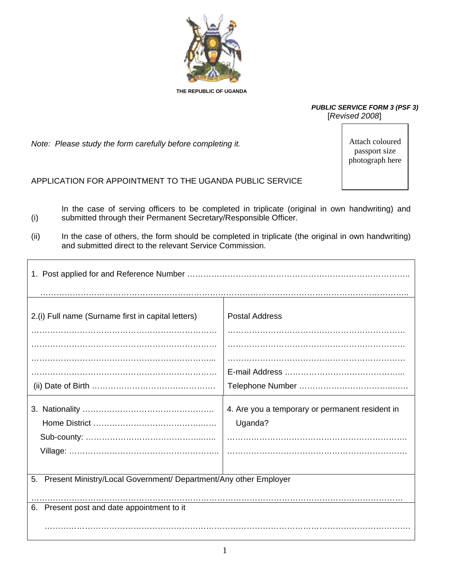

 **THE REPUBLIC OF UGANDA** 

*PUBLIC SERVICE FORM 3 (PSF 3)* [*Revised 2008*]

*Note: Please study the form carefully before completing it.* 

Attach coloured passport size photograph here

APPLICATION FOR APPOINTMENT TO THE UGANDA PUBLIC SERVICE

(i) In the case of serving officers to be completed in triplicate (original in own handwriting) and submitted through their Permanent Secretary/Responsible Officer.

(ii) In the case of others, the form should be completed in triplicate (the original in own handwriting) and submitted direct to the relevant Service Commission.

| 2.(i) Full name (Surname first in capital letters)                  | <b>Postal Address</b>                                      |  |  |
|---------------------------------------------------------------------|------------------------------------------------------------|--|--|
|                                                                     |                                                            |  |  |
|                                                                     | 4. Are you a temporary or permanent resident in<br>Uganda? |  |  |
| 5. Present Ministry/Local Government/ Department/Any other Employer |                                                            |  |  |
| 6. Present post and date appointment to it                          |                                                            |  |  |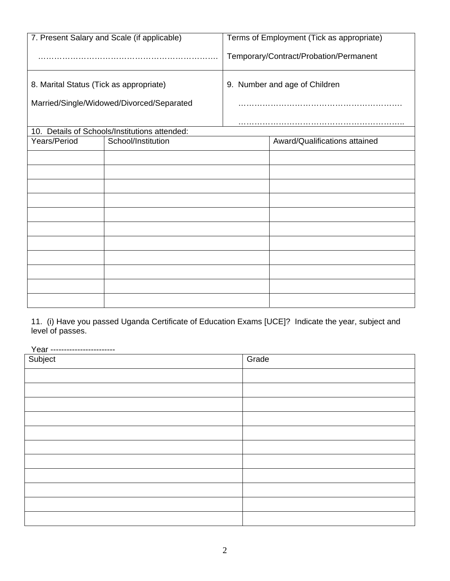| 7. Present Salary and Scale (if applicable) |                                               | Terms of Employment (Tick as appropriate) |                                        |
|---------------------------------------------|-----------------------------------------------|-------------------------------------------|----------------------------------------|
|                                             |                                               |                                           | Temporary/Contract/Probation/Permanent |
| 8. Marital Status (Tick as appropriate)     |                                               | 9. Number and age of Children             |                                        |
| Married/Single/Widowed/Divorced/Separated   |                                               |                                           |                                        |
|                                             | 10. Details of Schools/Institutions attended: |                                           |                                        |
| Years/Period                                | School/Institution                            |                                           | Award/Qualifications attained          |
|                                             |                                               |                                           |                                        |
|                                             |                                               |                                           |                                        |
|                                             |                                               |                                           |                                        |
|                                             |                                               |                                           |                                        |
|                                             |                                               |                                           |                                        |
|                                             |                                               |                                           |                                        |
|                                             |                                               |                                           |                                        |
|                                             |                                               |                                           |                                        |
|                                             |                                               |                                           |                                        |
|                                             |                                               |                                           |                                        |
|                                             |                                               |                                           |                                        |

11. (i) Have you passed Uganda Certificate of Education Exams [UCE]? Indicate the year, subject and level of passes.

| Year -------------------------<br>Subject | Grade |  |
|-------------------------------------------|-------|--|
|                                           |       |  |
|                                           |       |  |
|                                           |       |  |
|                                           |       |  |
|                                           |       |  |
|                                           |       |  |
|                                           |       |  |
|                                           |       |  |
|                                           |       |  |
|                                           |       |  |
|                                           |       |  |
|                                           |       |  |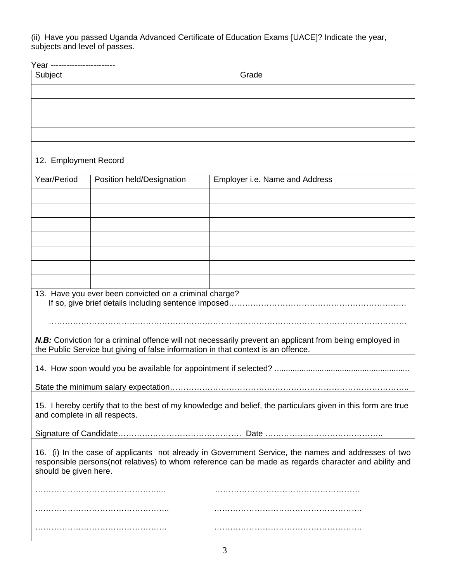(ii) Have you passed Uganda Advanced Certificate of Education Exams [UACE]? Indicate the year, subjects and level of passes.

Year ------------------------

| Subject                                                                                               |                                                                                   | Grade |                                                                                                               |
|-------------------------------------------------------------------------------------------------------|-----------------------------------------------------------------------------------|-------|---------------------------------------------------------------------------------------------------------------|
|                                                                                                       |                                                                                   |       |                                                                                                               |
|                                                                                                       |                                                                                   |       |                                                                                                               |
|                                                                                                       |                                                                                   |       |                                                                                                               |
|                                                                                                       |                                                                                   |       |                                                                                                               |
|                                                                                                       |                                                                                   |       |                                                                                                               |
| 12. Employment Record                                                                                 |                                                                                   |       |                                                                                                               |
|                                                                                                       |                                                                                   |       |                                                                                                               |
| Year/Period                                                                                           | Position held/Designation                                                         |       | Employer i.e. Name and Address                                                                                |
|                                                                                                       |                                                                                   |       |                                                                                                               |
|                                                                                                       |                                                                                   |       |                                                                                                               |
|                                                                                                       |                                                                                   |       |                                                                                                               |
|                                                                                                       |                                                                                   |       |                                                                                                               |
|                                                                                                       |                                                                                   |       |                                                                                                               |
|                                                                                                       |                                                                                   |       |                                                                                                               |
|                                                                                                       |                                                                                   |       |                                                                                                               |
|                                                                                                       | 13. Have you ever been convicted on a criminal charge?                            |       |                                                                                                               |
|                                                                                                       |                                                                                   |       |                                                                                                               |
|                                                                                                       |                                                                                   |       |                                                                                                               |
|                                                                                                       |                                                                                   |       |                                                                                                               |
|                                                                                                       | the Public Service but giving of false information in that context is an offence. |       | N.B: Conviction for a criminal offence will not necessarily prevent an applicant from being employed in       |
|                                                                                                       |                                                                                   |       |                                                                                                               |
|                                                                                                       |                                                                                   |       |                                                                                                               |
|                                                                                                       |                                                                                   |       |                                                                                                               |
|                                                                                                       |                                                                                   |       |                                                                                                               |
| and complete in all respects.                                                                         |                                                                                   |       | 15. I hereby certify that to the best of my knowledge and belief, the particulars given in this form are true |
|                                                                                                       |                                                                                   |       |                                                                                                               |
|                                                                                                       |                                                                                   |       |                                                                                                               |
|                                                                                                       |                                                                                   |       | 16. (i) In the case of applicants not already in Government Service, the names and addresses of two           |
| responsible persons(not relatives) to whom reference can be made as regards character and ability and |                                                                                   |       |                                                                                                               |
| should be given here.                                                                                 |                                                                                   |       |                                                                                                               |
|                                                                                                       |                                                                                   |       |                                                                                                               |
|                                                                                                       |                                                                                   |       |                                                                                                               |
|                                                                                                       |                                                                                   |       |                                                                                                               |